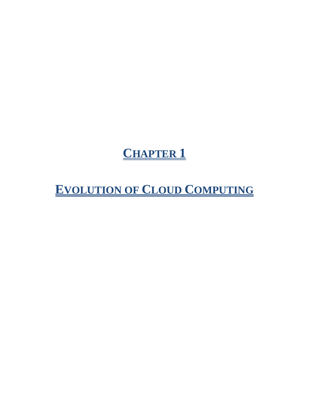# **CHAPTER 1**

**EVOLUTION OF CLOUD COMPUTING**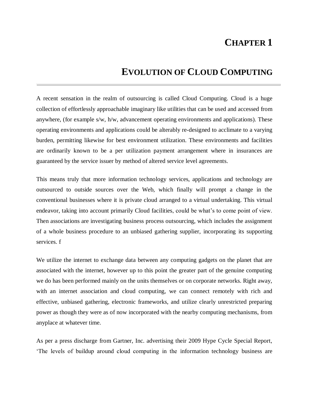# **CHAPTER 1**

# **EVOLUTION OF CLOUD COMPUTING**

A recent sensation in the realm of outsourcing is called Cloud Computing. Cloud is a huge collection of effortlessly approachable imaginary like utilities that can be used and accessed from anywhere, (for example s/w, h/w, advancement operating environments and applications). These operating environments and applications could be alterably re-designed to acclimate to a varying burden, permitting likewise for best environment utilization. These environments and facilities are ordinarily known to be a per utilization payment arrangement where in insurances are guaranteed by the service issuer by method of altered service level agreements.

This means truly that more information technology services, applications and technology are outsourced to outside sources over the Web, which finally will prompt a change in the conventional businesses where it is private cloud arranged to a virtual undertaking. This virtual endeavor, taking into account primarily Cloud facilities, could be what's to come point of view. Then associations are investigating business process outsourcing, which includes the assignment of a whole business procedure to an unbiased gathering supplier, incorporating its supporting services. f

We utilize the internet to exchange data between any computing gadgets on the planet that are associated with the internet, however up to this point the greater part of the genuine computing we do has been performed mainly on the units themselves or on corporate networks. Right away, with an internet association and cloud computing, we can connect remotely with rich and effective, unbiased gathering, electronic frameworks, and utilize clearly unrestricted preparing power as though they were as of now incorporated with the nearby computing mechanisms, from anyplace at whatever time.

As per a press discharge from Gartner, Inc. advertising their 2009 Hype Cycle Special Report, 'The levels of buildup around cloud computing in the information technology business are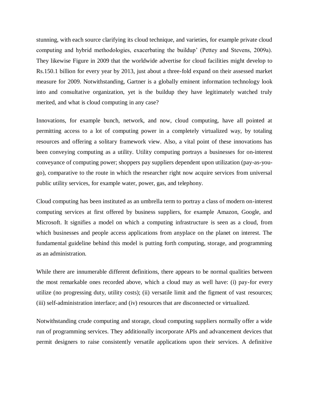stunning, with each source clarifying its cloud technique, and varieties, for example private cloud computing and hybrid methodologies, exacerbating the buildup' (Pettey and Stevens, 2009a). They likewise Figure in 2009 that the worldwide advertise for cloud facilities might develop to Rs.150.1 billion for every year by 2013, just about a three-fold expand on their assessed market measure for 2009. Notwithstanding, Gartner is a globally eminent information technology look into and consultative organization, yet is the buildup they have legitimately watched truly merited, and what is cloud computing in any case?

Innovations, for example bunch, network, and now, cloud computing, have all pointed at permitting access to a lot of computing power in a completely virtualized way, by totaling resources and offering a solitary framework view. Also, a vital point of these innovations has been conveying computing as a utility. Utility computing portrays a businesses for on-interest conveyance of computing power; shoppers pay suppliers dependent upon utilization (pay-as-yougo), comparative to the route in which the researcher right now acquire services from universal public utility services, for example water, power, gas, and telephony.

Cloud computing has been instituted as an umbrella term to portray a class of modern on-interest computing services at first offered by business suppliers, for example Amazon, Google, and Microsoft. It signifies a model on which a computing infrastructure is seen as a cloud, from which businesses and people access applications from anyplace on the planet on interest. The fundamental guideline behind this model is putting forth computing, storage, and programming as an administration.

While there are innumerable different definitions, there appears to be normal qualities between the most remarkable ones recorded above, which a cloud may as well have: (i) pay-for every utilize (no progressing duty, utility costs); (ii) versatile limit and the figment of vast resources; (iii) self-administration interface; and (iv) resources that are disconnected or virtualized.

Notwithstanding crude computing and storage, cloud computing suppliers normally offer a wide run of programming services. They additionally incorporate APIs and advancement devices that permit designers to raise consistently versatile applications upon their services. A definitive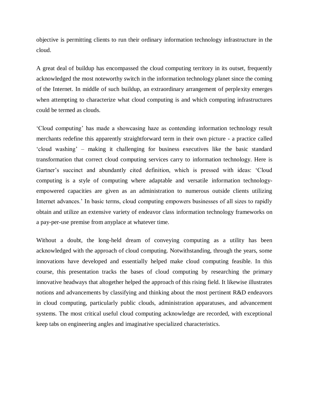objective is permitting clients to run their ordinary information technology infrastructure in the cloud.

A great deal of buildup has encompassed the cloud computing territory in its outset, frequently acknowledged the most noteworthy switch in the information technology planet since the coming of the Internet. In middle of such buildup, an extraordinary arrangement of perplexity emerges when attempting to characterize what cloud computing is and which computing infrastructures could be termed as clouds.

'Cloud computing' has made a showcasing haze as contending information technology result merchants redefine this apparently straightforward term in their own picture - a practice called 'cloud washing' – making it challenging for business executives like the basic standard transformation that correct cloud computing services carry to information technology. Here is Gartner's succinct and abundantly cited definition, which is pressed with ideas: 'Cloud computing is a style of computing where adaptable and versatile information technologyempowered capacities are given as an administration to numerous outside clients utilizing Internet advances.' In basic terms, cloud computing empowers businesses of all sizes to rapidly obtain and utilize an extensive variety of endeavor class information technology frameworks on a pay-per-use premise from anyplace at whatever time.

Without a doubt, the long-held dream of conveying computing as a utility has been acknowledged with the approach of cloud computing. Notwithstanding, through the years, some innovations have developed and essentially helped make cloud computing feasible. In this course, this presentation tracks the bases of cloud computing by researching the primary innovative headways that altogether helped the approach of this rising field. It likewise illustrates notions and advancements by classifying and thinking about the most pertinent R&D endeavors in cloud computing, particularly public clouds, administration apparatuses, and advancement systems. The most critical useful cloud computing acknowledge are recorded, with exceptional keep tabs on engineering angles and imaginative specialized characteristics.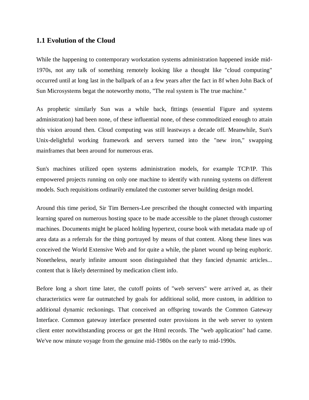#### **1.1 Evolution of the Cloud**

While the happening to contemporary workstation systems administration happened inside mid-1970s, not any talk of something remotely looking like a thought like "cloud computing" occurred until at long last in the ballpark of an a few years after the fact in 8f when John Back of Sun Microsystems begat the noteworthy motto, "The real system is The true machine."

As prophetic similarly Sun was a while back, fittings (essential Figure and systems administration) had been none, of these influential none, of these commoditized enough to attain this vision around then. Cloud computing was still leastways a decade off. Meanwhile, Sun's Unix-delightful working framework and servers turned into the "new iron," swapping mainframes that been around for numerous eras.

Sun's machines utilized open systems administration models, for example TCP/IP. This empowered projects running on only one machine to identify with running systems on different models. Such requisitions ordinarily emulated the customer server building design model.

Around this time period, Sir Tim Berners-Lee prescribed the thought connected with imparting learning spared on numerous hosting space to be made accessible to the planet through customer machines. Documents might be placed holding hypertext, course book with metadata made up of area data as a referrals for the thing portrayed by means of that content. Along these lines was conceived the World Extensive Web and for quite a while, the planet wound up being euphoric. Nonetheless, nearly infinite amount soon distinguished that they fancied dynamic articles... content that is likely determined by medication client info.

Before long a short time later, the cutoff points of "web servers" were arrived at, as their characteristics were far outmatched by goals for additional solid, more custom, in addition to additional dynamic reckonings. That conceived an offspring towards the Common Gateway Interface. Common gateway interface presented outer provisions in the web server to system client enter notwithstanding process or get the Html records. The "web application" had came. We've now minute voyage from the genuine mid-1980s on the early to mid-1990s.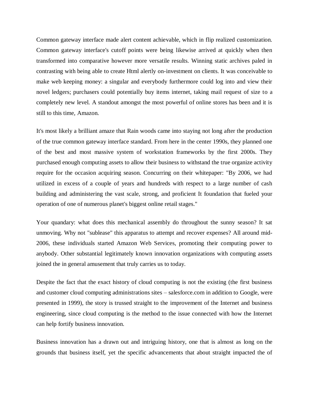Common gateway interface made alert content achievable, which in flip realized customization. Common gateway interface's cutoff points were being likewise arrived at quickly when then transformed into comparative however more versatile results. Winning static archives paled in contrasting with being able to create Html alertly on-investment on clients. It was conceivable to make web keeping money: a singular and everybody furthermore could log into and view their novel ledgers; purchasers could potentially buy items internet, taking mail request of size to a completely new level. A standout amongst the most powerful of online stores has been and it is still to this time, Amazon.

It's most likely a brilliant amaze that Rain woods came into staying not long after the production of the true common gateway interface standard. From here in the center 1990s, they planned one of the best and most massive system of workstation frameworks by the first 2000s. They purchased enough computing assets to allow their business to withstand the true organize activity require for the occasion acquiring season. Concurring on their whitepaper: "By 2006, we had utilized in excess of a couple of years and hundreds with respect to a large number of cash building and administering the vast scale, strong, and proficient It foundation that fueled your operation of one of numerous planet's biggest online retail stages."

Your quandary: what does this mechanical assembly do throughout the sunny season? It sat unmoving. Why not "sublease" this apparatus to attempt and recover expenses? All around mid-2006, these individuals started Amazon Web Services, promoting their computing power to anybody. Other substantial legitimately known innovation organizations with computing assets joined the in general amusement that truly carries us to today.

Despite the fact that the exact history of cloud computing is not the existing (the first business and customer cloud computing administrations sites – salesforce.com in addition to Google, were presented in 1999), the story is trussed straight to the improvement of the Internet and business engineering, since cloud computing is the method to the issue connected with how the Internet can help fortify business innovation.

Business innovation has a drawn out and intriguing history, one that is almost as long on the grounds that business itself, yet the specific advancements that about straight impacted the of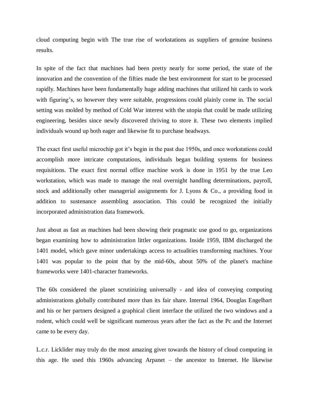cloud computing begin with The true rise of workstations as suppliers of genuine business results.

In spite of the fact that machines had been pretty nearly for some period, the state of the innovation and the convention of the fifties made the best environment for start to be processed rapidly. Machines have been fundamentally huge adding machines that utilized hit cards to work with figuring's, so however they were suitable, progressions could plainly come in. The social setting was molded by method of Cold War interest with the utopia that could be made utilizing engineering, besides since newly discovered thriving to store it. These two elements implied individuals wound up both eager and likewise fit to purchase headways.

The exact first useful microchip got it's begin in the past due 1950s, and once workstations could accomplish more intricate computations, individuals began building systems for business requisitions. The exact first normal office machine work is done in 1951 by the true Leo workstation, which was made to manage the real overnight handling determinations, payroll, stock and additionally other managerial assignments for J. Lyons & Co., a providing food in addition to sustenance assembling association. This could be recognized the initially incorporated administration data framework.

Just about as fast as machines had been showing their pragmatic use good to go, organizations began examining how to administration littler organizations. Inside 1959, IBM discharged the 1401 model, which gave minor undertakings access to actualities transforming machines. Your 1401 was popular to the point that by the mid-60s, about 50% of the planet's machine frameworks were 1401-character frameworks.

The 60s considered the planet scrutinizing universally - and idea of conveying computing administrations globally contributed more than its fair share. Internal 1964, Douglas Engelbart and his or her partners designed a graphical client interface the utilized the two windows and a rodent, which could well be significant numerous years after the fact as the Pc and the Internet came to be every day.

L.c.r. Licklider may truly do the most amazing giver towards the history of cloud computing in this age. He used this 1960s advancing Arpanet – the ancestor to Internet. He likewise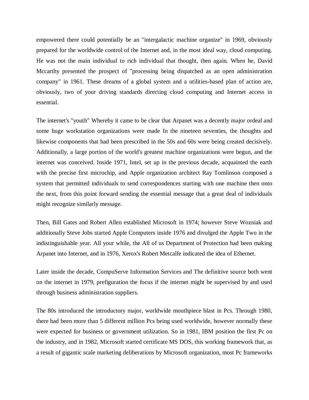empowered there could potentially be an "intergalactic machine organize" in 1969, obviously prepared for the worldwide control of the Internet and, in the most ideal way, cloud computing. He was not the main individual to rich individual that thought, then again. When he, David Mccarthy presented the prospect of "processing being dispatched as an open administration company" in 1961. These dreams of a global system and a utilities-based plan of action are, obviously, two of your driving standards directing cloud computing and Internet access in essential.

The internet's "youth" Whereby it came to be clear that Arpanet was a decently major ordeal and some huge workstation organizations were made In the nineteen seventies, the thoughts and likewise components that had been prescribed in the 50s and 60s were being created decisively. Additionally, a large portion of the world's greatest machine organizations were begun, and the internet was conceived. Inside 1971, Intel, set up in the previous decade, acquainted the earth with the precise first microchip, and Apple organization architect Ray Tomlinson composed a system that permitted individuals to send correspondences starting with one machine then onto the next, from this point forward sending the essential message that a great deal of individuals might recognize similarly message.

Then, Bill Gates and Robert Allen established Microsoft in 1974; however Steve Wozniak and additionally Steve Jobs started Apple Computers inside 1976 and divulged the Apple Two in the indistinguishable year. All your while, the All of us Department of Protection had been making Arpanet into Internet, and in 1976, Xerox's Robert Metcalfe indicated the idea of Ethernet.

Later inside the decade, CompuServe Information Services and The definitive source both went on the internet in 1979, prefiguration the focus if the internet might be supervised by and used through business administration suppliers.

The 80s introduced the introductory major, worldwide mouthpiece blast in Pcs. Through 1980, there had been more than 5 different million Pcs being used worldwide, however normally these were expected for business or government utilization. So in 1981, IBM position the first Pc on the industry, and in 1982, Microsoft started certificate MS DOS, this working framework that, as a result of gigantic scale marketing deliberations by Microsoft organization, most Pc frameworks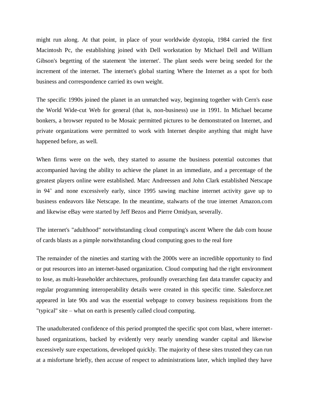might run along. At that point, in place of your worldwide dystopia, 1984 carried the first Macintosh Pc, the establishing joined with Dell workstation by Michael Dell and William Gibson's begetting of the statement 'the internet'. The plant seeds were being seeded for the increment of the internet. The internet's global starting Where the Internet as a spot for both business and correspondence carried its own weight.

The specific 1990s joined the planet in an unmatched way, beginning together with Cern's ease the World Wide-cut Web for general (that is, non-business) use in 1991. In Michael became bonkers, a browser reputed to be Mosaic permitted pictures to be demonstrated on Internet, and private organizations were permitted to work with Internet despite anything that might have happened before, as well.

When firms were on the web, they started to assume the business potential outcomes that accompanied having the ability to achieve the planet in an immediate, and a percentage of the greatest players online were established. Marc Andreessen and John Clark established Netscape in 94' and none excessively early, since 1995 sawing machine internet activity gave up to business endeavors like Netscape. In the meantime, stalwarts of the true internet Amazon.com and likewise eBay were started by Jeff Bezos and Pierre Omidyan, severally.

The internet's "adulthood" notwithstanding cloud computing's ascent Where the dab com house of cards blasts as a pimple notwithstanding cloud computing goes to the real fore

The remainder of the nineties and starting with the 2000s were an incredible opportunity to find or put resources into an internet-based organization. Cloud computing had the right environment to lose, as multi-leaseholder architectures, profoundly overarching fast data transfer capacity and regular programming interoperability details were created in this specific time. Salesforce.net appeared in late 90s and was the essential webpage to convey business requisitions from the "typical" site – what on earth is presently called cloud computing.

The unadulterated confidence of this period prompted the specific spot com blast, where internetbased organizations, backed by evidently very nearly unending wander capital and likewise excessively sure expectations, developed quickly. The majority of these sites trusted they can run at a misfortune briefly, then accuse of respect to administrations later, which implied they have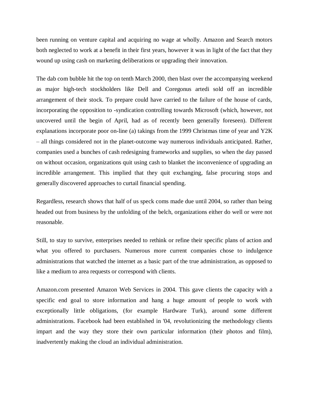been running on venture capital and acquiring no wage at wholly. Amazon and Search motors both neglected to work at a benefit in their first years, however it was in light of the fact that they wound up using cash on marketing deliberations or upgrading their innovation.

The dab com bubble hit the top on tenth March 2000, then blast over the accompanying weekend as major high-tech stockholders like Dell and Coregonus artedi sold off an incredible arrangement of their stock. To prepare could have carried to the failure of the house of cards, incorporating the opposition to -syndication controlling towards Microsoft (which, however, not uncovered until the begin of April, had as of recently been generally foreseen). Different explanations incorporate poor on-line (a) takings from the 1999 Christmas time of year and Y2K – all things considered not in the planet-outcome way numerous individuals anticipated. Rather, companies used a bunches of cash redesigning frameworks and supplies, so when the day passed on without occasion, organizations quit using cash to blanket the inconvenience of upgrading an incredible arrangement. This implied that they quit exchanging, false procuring stops and generally discovered approaches to curtail financial spending.

Regardless, research shows that half of us speck coms made due until 2004, so rather than being headed out from business by the unfolding of the belch, organizations either do well or were not reasonable.

Still, to stay to survive, enterprises needed to rethink or refine their specific plans of action and what you offered to purchasers. Numerous more current companies chose to indulgence administrations that watched the internet as a basic part of the true administration, as opposed to like a medium to area requests or correspond with clients.

Amazon.com presented Amazon Web Services in 2004. This gave clients the capacity with a specific end goal to store information and hang a huge amount of people to work with exceptionally little obligations, (for example Hardware Turk), around some different administrations. Facebook had been established in '04, revolutionizing the methodology clients impart and the way they store their own particular information (their photos and film), inadvertently making the cloud an individual administration.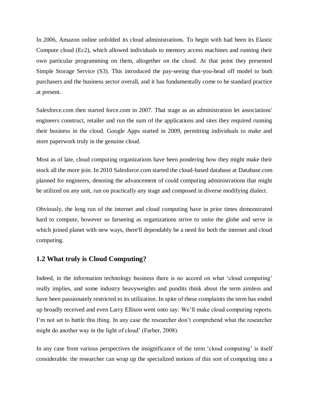In 2006, Amazon online unfolded its cloud administrations. To begin with had been its Elastic Compute cloud (Ec2), which allowed individuals to memory access machines and running their own particular programming on them, altogether on the cloud. At that point they presented Simple Storage Service (S3). This introduced the pay-seeing that-you-head off model to both purchasers and the business sector overall, and it has fundamentally come to be standard practice at present.

Salesforce.com then started force.com in 2007. That stage as an administration let associations' engineers construct, retailer and run the sum of the applications and sites they required running their business in the cloud. Google Apps started in 2009, permitting individuals to make and store paperwork truly in the genuine cloud.

Most as of late, cloud computing organizations have been pondering how they might make their stock all the more join. In 2010 Salesforce.com started the cloud-based database at Database.com planned for engineers, denoting the advancement of could computing administrations that might be utilized on any unit, run on practically any stage and composed in diverse modifying dialect.

Obviously, the long run of the internet and cloud computing have in prior times demonstrated hard to compute, however so farseeing as organizations strive to unite the globe and serve in which joined planet with new ways, there'll dependably be a need for both the internet and cloud computing.

# **1.2 What truly is Cloud Computing?**

Indeed, in the information technology business there is no accord on what 'cloud computing' really implies, and some industry heavyweights and pundits think about the term aimless and have been passionately restricted to its utilization. In spite of these complaints the term has ended up broadly received and even Larry Ellison went onto say: We'll make cloud computing reports. I'm not set to battle this thing. In any case the researcher don't comprehend what the researcher might do another way in the light of cloud' (Farber, 2008).

In any case from various perspectives the insignificance of the term 'cloud computing' is itself considerable. the researcher can wrap up the specialized notions of this sort of computing into a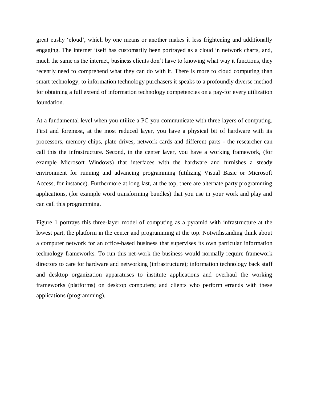great cushy 'cloud', which by one means or another makes it less frightening and additionally engaging. The internet itself has customarily been portrayed as a cloud in network charts, and, much the same as the internet, business clients don't have to knowing what way it functions, they recently need to comprehend what they can do with it. There is more to cloud computing than smart technology; to information technology purchasers it speaks to a profoundly diverse method for obtaining a full extend of information technology competencies on a pay-for every utilization foundation.

At a fundamental level when you utilize a PC you communicate with three layers of computing. First and foremost, at the most reduced layer, you have a physical bit of hardware with its processors, memory chips, plate drives, network cards and different parts - the researcher can call this the infrastructure. Second, in the center layer, you have a working framework, (for example Microsoft Windows) that interfaces with the hardware and furnishes a steady environment for running and advancing programming (utilizing Visual Basic or Microsoft Access, for instance). Furthermore at long last, at the top, there are alternate party programming applications, (for example word transforming bundles) that you use in your work and play and can call this programming.

Figure 1 portrays this three-layer model of computing as a pyramid with infrastructure at the lowest part, the platform in the center and programming at the top. Notwithstanding think about a computer network for an office-based business that supervises its own particular information technology frameworks. To run this net-work the business would normally require framework directors to care for hardware and networking (infrastructure); information technology back staff and desktop organization apparatuses to institute applications and overhaul the working frameworks (platforms) on desktop computers; and clients who perform errands with these applications (programming).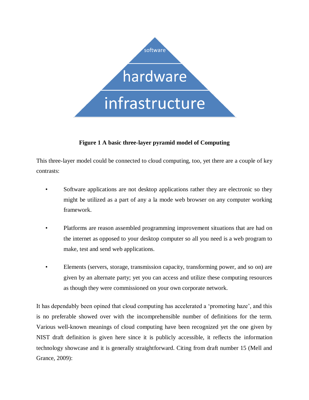

# **Figure 1 A basic three-layer pyramid model of Computing**

This three-layer model could be connected to cloud computing, too, yet there are a couple of key contrasts:

- Software applications are not desktop applications rather they are electronic so they might be utilized as a part of any a la mode web browser on any computer working framework.
- Platforms are reason assembled programming improvement situations that are had on the internet as opposed to your desktop computer so all you need is a web program to make, test and send web applications.
- Elements (servers, storage, transmission capacity, transforming power, and so on) are given by an alternate party; yet you can access and utilize these computing resources as though they were commissioned on your own corporate network.

It has dependably been opined that cloud computing has accelerated a 'promoting haze', and this is no preferable showed over with the incomprehensible number of definitions for the term. Various well-known meanings of cloud computing have been recognized yet the one given by NIST draft definition is given here since it is publicly accessible, it reflects the information technology showcase and it is generally straightforward. Citing from draft number 15 (Mell and Grance, 2009):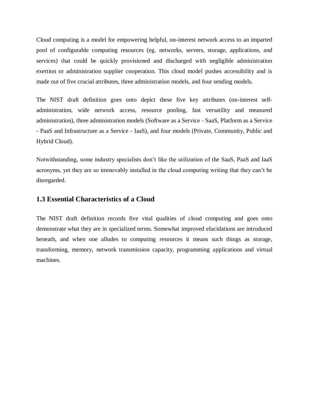Cloud computing is a model for empowering helpful, on-interest network access to an imparted pool of configurable computing resources (eg. networks, servers, storage, applications, and services) that could be quickly provisioned and discharged with negligible administration exertion or administration supplier cooperation. This cloud model pushes accessibility and is made out of five crucial attributes, three administration models, and four sending models.

The NIST draft definition goes onto depict these five key attributes (on-interest selfadministration, wide network access, resource pooling, fast versatility and measured administration), three administration models (Software as a Service - SaaS, Platform as a Service - PaaS and Infrastructure as a Service - IaaS), and four models (Private, Community, Public and Hybrid Cloud).

Notwithstanding, some industry specialists don't like the utilization of the SaaS, PaaS and IaaS acronyms, yet they are so immovably installed in the cloud computing writing that they can't be disregarded.

#### **1.3 Essential Characteristics of a Cloud**

The NIST draft definition records five vital qualities of cloud computing and goes onto demonstrate what they are in specialized terms. Somewhat improved elucidations are introduced beneath, and when one alludes to computing resources it means such things as storage, transforming, memory, network transmission capacity, programming applications and virtual machines.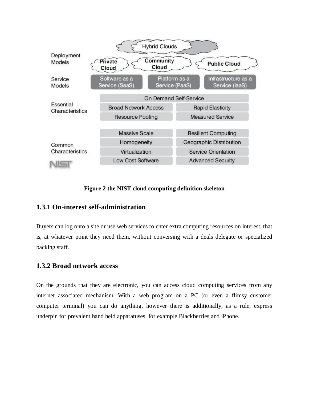

#### **Figure 2 the NIST cloud computing definition skeleton**

# **1.3.1 On-interest self-administration**

Buyers can log onto a site or use web services to enter extra computing resources on interest, that is, at whatever point they need them, without conversing with a deals delegate or specialized backing staff.

#### **1.3.2 Broad network access**

On the grounds that they are electronic, you can access cloud computing services from any internet associated mechanism. With a web program on a PC (or even a flimsy customer computer terminal) you can do anything, however there is additionally, as a rule, express underpin for prevalent hand held apparatuses, for example Blackberries and iPhone.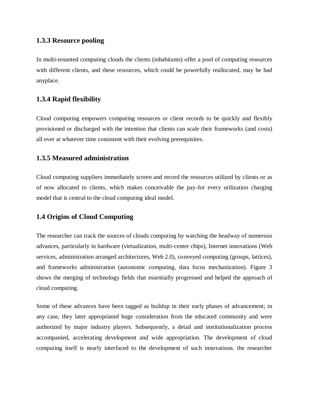# **1.3.3 Resource pooling**

In multi-tenanted computing clouds the clients (inhabitants) offer a pool of computing resources with different clients, and these resources, which could be powerfully reallocated, may be had anyplace.

# **1.3.4 Rapid flexibility**

Cloud computing empowers computing resources or client records to be quickly and flexibly provisioned or discharged with the intention that clients can scale their frameworks (and costs) all over at whatever time consistent with their evolving prerequisites.

# **1.3.5 Measured administration**

Cloud computing suppliers immediately screen and record the resources utilized by clients or as of now allocated to clients, which makes conceivable the pay-for every utilization charging model that is central to the cloud computing ideal model.

# **1.4 Origins of Cloud Computing**

The researcher can track the sources of clouds computing by watching the headway of numerous advances, particularly in hardware (virtualization, multi-center chips), Internet innovations (Web services, administration arranged architectures, Web 2.0), conveyed computing (groups, lattices), and frameworks administration (autonomic computing, data focus mechanization). Figure 3 shows the merging of technology fields that essentially progressed and helped the approach of cloud computing.

Some of these advances have been tagged as buildup in their early phases of advancement; in any case, they later appropriated huge consideration from the educated community and were authorized by major industry players. Subsequently, a detail and institutionalization process accompanied, accelerating development and wide appropriation. The development of cloud computing itself is nearly interfaced to the development of such innovations. the researcher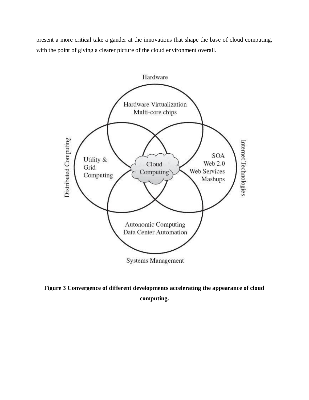present a more critical take a gander at the innovations that shape the base of cloud computing, with the point of giving a clearer picture of the cloud environment overall.



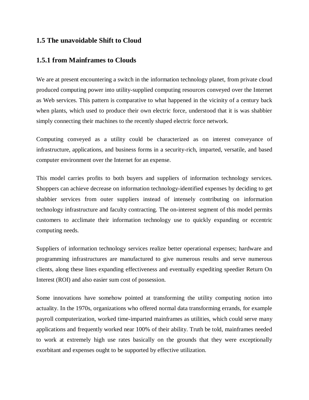# **1.5 The unavoidable Shift to Cloud**

#### **1.5.1 from Mainframes to Clouds**

We are at present encountering a switch in the information technology planet, from private cloud produced computing power into utility-supplied computing resources conveyed over the Internet as Web services. This pattern is comparative to what happened in the vicinity of a century back when plants, which used to produce their own electric force, understood that it is was shabbier simply connecting their machines to the recently shaped electric force network.

Computing conveyed as a utility could be characterized as on interest conveyance of infrastructure, applications, and business forms in a security-rich, imparted, versatile, and based computer environment over the Internet for an expense.

This model carries profits to both buyers and suppliers of information technology services. Shoppers can achieve decrease on information technology-identified expenses by deciding to get shabbier services from outer suppliers instead of intensely contributing on information technology infrastructure and faculty contracting. The on-interest segment of this model permits customers to acclimate their information technology use to quickly expanding or eccentric computing needs.

Suppliers of information technology services realize better operational expenses; hardware and programming infrastructures are manufactured to give numerous results and serve numerous clients, along these lines expanding effectiveness and eventually expediting speedier Return On Interest (ROI) and also easier sum cost of possession.

Some innovations have somehow pointed at transforming the utility computing notion into actuality. In the 1970s, organizations who offered normal data transforming errands, for example payroll computerization, worked time-imparted mainframes as utilities, which could serve many applications and frequently worked near 100% of their ability. Truth be told, mainframes needed to work at extremely high use rates basically on the grounds that they were exceptionally exorbitant and expenses ought to be supported by effective utilization.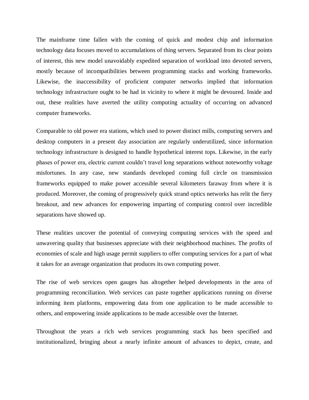The mainframe time fallen with the coming of quick and modest chip and information technology data focuses moved to accumulations of thing servers. Separated from its clear points of interest, this new model unavoidably expedited separation of workload into devoted servers, mostly because of incompatibilities between programming stacks and working frameworks. Likewise, the inaccessibility of proficient computer networks implied that information technology infrastructure ought to be had in vicinity to where it might be devoured. Inside and out, these realities have averted the utility computing actuality of occurring on advanced computer frameworks.

Comparable to old power era stations, which used to power distinct mills, computing servers and desktop computers in a present day association are regularly underutilized, since information technology infrastructure is designed to handle hypothetical interest tops. Likewise, in the early phases of power era, electric current couldn't travel long separations without noteworthy voltage misfortunes. In any case, new standards developed coming full circle on transmission frameworks equipped to make power accessible several kilometers faraway from where it is produced. Moreover, the coming of progressively quick strand optics networks has relit the fiery breakout, and new advances for empowering imparting of computing control over incredible separations have showed up.

These realities uncover the potential of conveying computing services with the speed and unwavering quality that businesses appreciate with their neighborhood machines. The profits of economies of scale and high usage permit suppliers to offer computing services for a part of what it takes for an average organization that produces its own computing power.

The rise of web services open gauges has altogether helped developments in the area of programming reconciliation. Web services can paste together applications running on diverse informing item platforms, empowering data from one application to be made accessible to others, and empowering inside applications to be made accessible over the Internet.

Throughout the years a rich web services programming stack has been specified and institutionalized, bringing about a nearly infinite amount of advances to depict, create, and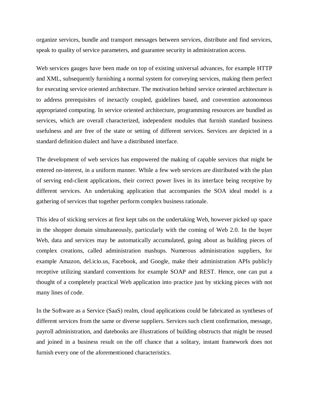organize services, bundle and transport messages between services, distribute and find services, speak to quality of service parameters, and guarantee security in administration access.

Web services gauges have been made on top of existing universal advances, for example HTTP and XML, subsequently furnishing a normal system for conveying services, making them perfect for executing service oriented architecture. The motivation behind service oriented architecture is to address prerequisites of inexactly coupled, guidelines based, and convention autonomous appropriated computing. In service oriented architecture, programming resources are bundled as services, which are overall characterized, independent modules that furnish standard business usefulness and are free of the state or setting of different services. Services are depicted in a standard definition dialect and have a distributed interface.

The development of web services has empowered the making of capable services that might be entered on-interest, in a uniform manner. While a few web services are distributed with the plan of serving end-client applications, their correct power lives in its interface being receptive by different services. An undertaking application that accompanies the SOA ideal model is a gathering of services that together perform complex business rationale.

This idea of sticking services at first kept tabs on the undertaking Web, however picked up space in the shopper domain simultaneously, particularly with the coming of Web 2.0. In the buyer Web, data and services may be automatically accumulated, going about as building pieces of complex creations, called administration mashups. Numerous administration suppliers, for example Amazon, del.icio.us, Facebook, and Google, make their administration APIs publicly receptive utilizing standard conventions for example SOAP and REST. Hence, one can put a thought of a completely practical Web application into practice just by sticking pieces with not many lines of code.

In the Software as a Service (SaaS) realm, cloud applications could be fabricated as syntheses of different services from the same or diverse suppliers. Services such client confirmation, message, payroll administration, and datebooks are illustrations of building obstructs that might be reused and joined in a business result on the off chance that a solitary, instant framework does not furnish every one of the aforementioned characteristics.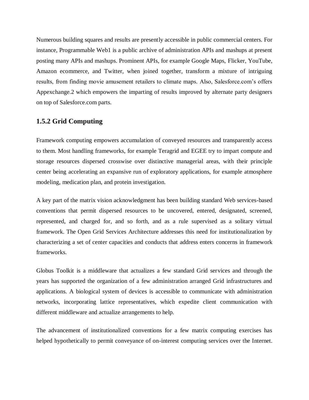Numerous building squares and results are presently accessible in public commercial centers. For instance, Programmable Web1 is a public archive of administration APIs and mashups at present posting many APIs and mashups. Prominent APIs, for example Google Maps, Flicker, YouTube, Amazon ecommerce, and Twitter, when joined together, transform a mixture of intriguing results, from finding movie amusement retailers to climate maps. Also, Salesforce.com's offers Appexchange.2 which empowers the imparting of results improved by alternate party designers on top of Salesforce.com parts.

# **1.5.2 Grid Computing**

Framework computing empowers accumulation of conveyed resources and transparently access to them. Most handling frameworks, for example Teragrid and EGEE try to impart compute and storage resources dispersed crosswise over distinctive managerial areas, with their principle center being accelerating an expansive run of exploratory applications, for example atmosphere modeling, medication plan, and protein investigation.

A key part of the matrix vision acknowledgment has been building standard Web services-based conventions that permit dispersed resources to be uncovered, entered, designated, screened, represented, and charged for, and so forth, and as a rule supervised as a solitary virtual framework. The Open Grid Services Architecture addresses this need for institutionalization by characterizing a set of center capacities and conducts that address enters concerns in framework frameworks.

Globus Toolkit is a middleware that actualizes a few standard Grid services and through the years has supported the organization of a few administration arranged Grid infrastructures and applications. A biological system of devices is accessible to communicate with administration networks, incorporating lattice representatives, which expedite client communication with different middleware and actualize arrangements to help.

The advancement of institutionalized conventions for a few matrix computing exercises has helped hypothetically to permit conveyance of on-interest computing services over the Internet.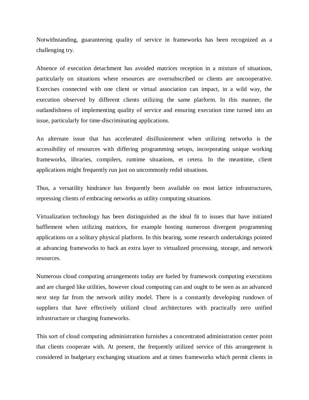Notwithstanding, guaranteeing quality of service in frameworks has been recognized as a challenging try.

Absence of execution detachment has avoided matrices reception in a mixture of situations, particularly on situations where resources are oversubscribed or clients are uncooperative. Exercises connected with one client or virtual association can impact, in a wild way, the execution observed by different clients utilizing the same platform. In this manner, the outlandishness of implementing quality of service and ensuring execution time turned into an issue, particularly for time-discriminating applications.

An alternate issue that has accelerated disillusionment when utilizing networks is the accessibility of resources with differing programming setups, incorporating unique working frameworks, libraries, compilers, runtime situations, et cetera. In the meantime, client applications might frequently run just on uncommonly redid situations.

Thus, a versatility hindrance has frequently been available on most lattice infrastructures, repressing clients of embracing networks as utility computing situations.

Virtualization technology has been distinguished as the ideal fit to issues that have initiated bafflement when utilizing matrices, for example hosting numerous divergent programming applications on a solitary physical platform. In this bearing, some research undertakings pointed at advancing frameworks to back an extra layer to virtualized processing, storage, and network resources.

Numerous cloud computing arrangements today are fueled by framework computing executions and are charged like utilities, however cloud computing can and ought to be seen as an advanced next step far from the network utility model. There is a constantly developing rundown of suppliers that have effectively utilized cloud architectures with practically zero unified infrastructure or charging frameworks.

This sort of cloud computing administration furnishes a concentrated administration center point that clients cooperate with. At present, the frequently utilized service of this arrangement is considered in budgetary exchanging situations and at times frameworks which permit clients in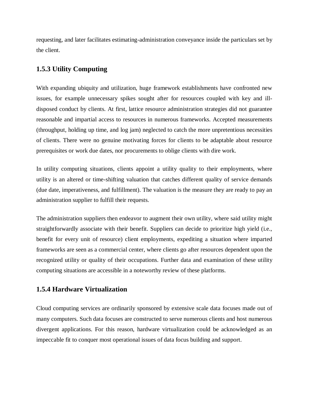requesting, and later facilitates estimating-administration conveyance inside the particulars set by the client.

# **1.5.3 Utility Computing**

With expanding ubiquity and utilization, huge framework establishments have confronted new issues, for example unnecessary spikes sought after for resources coupled with key and illdisposed conduct by clients. At first, lattice resource administration strategies did not guarantee reasonable and impartial access to resources in numerous frameworks. Accepted measurements (throughput, holding up time, and log jam) neglected to catch the more unpretentious necessities of clients. There were no genuine motivating forces for clients to be adaptable about resource prerequisites or work due dates, nor procurements to oblige clients with dire work.

In utility computing situations, clients appoint a utility quality to their employments, where utility is an altered or time-shifting valuation that catches different quality of service demands (due date, imperativeness, and fulfillment). The valuation is the measure they are ready to pay an administration supplier to fulfill their requests.

The administration suppliers then endeavor to augment their own utility, where said utility might straightforwardly associate with their benefit. Suppliers can decide to prioritize high yield (i.e., benefit for every unit of resource) client employments, expediting a situation where imparted frameworks are seen as a commercial center, where clients go after resources dependent upon the recognized utility or quality of their occupations. Further data and examination of these utility computing situations are accessible in a noteworthy review of these platforms.

# **1.5.4 Hardware Virtualization**

Cloud computing services are ordinarily sponsored by extensive scale data focuses made out of many computers. Such data focuses are constructed to serve numerous clients and host numerous divergent applications. For this reason, hardware virtualization could be acknowledged as an impeccable fit to conquer most operational issues of data focus building and support.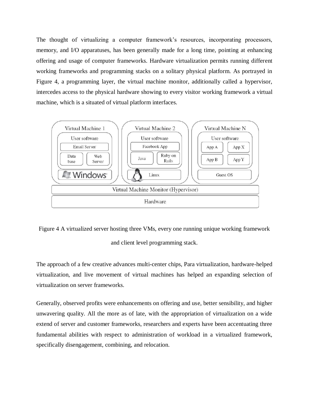The thought of virtualizing a computer framework's resources, incorporating processors, memory, and I/O apparatuses, has been generally made for a long time, pointing at enhancing offering and usage of computer frameworks. Hardware virtualization permits running different working frameworks and programming stacks on a solitary physical platform. As portrayed in Figure 4, a programming layer, the virtual machine monitor, additionally called a hypervisor, intercedes access to the physical hardware showing to every visitor working framework a virtual machine, which is a situated of virtual platform interfaces.





and client level programming stack.

The approach of a few creative advances multi-center chips, Para virtualization, hardware-helped virtualization, and live movement of virtual machines has helped an expanding selection of virtualization on server frameworks.

Generally, observed profits were enhancements on offering and use, better sensibility, and higher unwavering quality. All the more as of late, with the appropriation of virtualization on a wide extend of server and customer frameworks, researchers and experts have been accentuating three fundamental abilities with respect to administration of workload in a virtualized framework, specifically disengagement, combining, and relocation.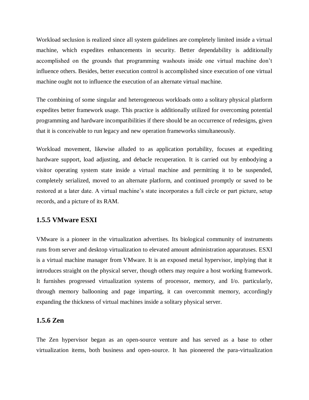Workload seclusion is realized since all system guidelines are completely limited inside a virtual machine, which expedites enhancements in security. Better dependability is additionally accomplished on the grounds that programming washouts inside one virtual machine don't influence others. Besides, better execution control is accomplished since execution of one virtual machine ought not to influence the execution of an alternate virtual machine.

The combining of some singular and heterogeneous workloads onto a solitary physical platform expedites better framework usage. This practice is additionally utilized for overcoming potential programming and hardware incompatibilities if there should be an occurrence of redesigns, given that it is conceivable to run legacy and new operation frameworks simultaneously.

Workload movement, likewise alluded to as application portability, focuses at expediting hardware support, load adjusting, and debacle recuperation. It is carried out by embodying a visitor operating system state inside a virtual machine and permitting it to be suspended, completely serialized, moved to an alternate platform, and continued promptly or saved to be restored at a later date. A virtual machine's state incorporates a full circle or part picture, setup records, and a picture of its RAM.

## **1.5.5 VMware ESXI**

VMware is a pioneer in the virtualization advertises. Its biological community of instruments runs from server and desktop virtualization to elevated amount administration apparatuses. ESXI is a virtual machine manager from VMware. It is an exposed metal hypervisor, implying that it introduces straight on the physical server, though others may require a host working framework. It furnishes progressed virtualization systems of processor, memory, and I/o. particularly, through memory ballooning and page imparting, it can overcommit memory, accordingly expanding the thickness of virtual machines inside a solitary physical server.

# **1.5.6 Zen**

The Zen hypervisor began as an open-source venture and has served as a base to other virtualization items, both business and open-source. It has pioneered the para-virtualization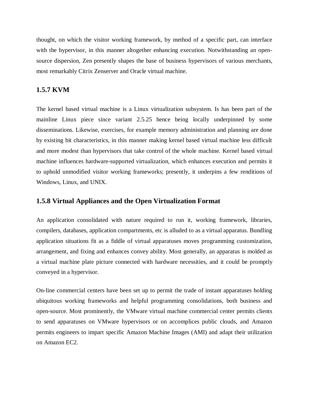thought, on which the visitor working framework, by method of a specific part, can interface with the hypervisor, in this manner altogether enhancing execution. Notwithstanding an opensource dispersion, Zen presently shapes the base of business hypervisors of various merchants, most remarkably Citrix Zenserver and Oracle virtual machine.

# **1.5.7 KVM**

The kernel based virtual machine is a Linux virtualization subsystem. Is has been part of the mainline Linux piece since variant 2.5.25 hence being locally underpinned by some disseminations. Likewise, exercises, for example memory administration and planning are done by existing bit characteristics, in this manner making kernel based virtual machine less difficult and more modest than hypervisors that take control of the whole machine. Kernel based virtual machine influences hardware-supported virtualization, which enhances execution and permits it to uphold unmodified visitor working frameworks; presently, it underpins a few renditions of Windows, Linux, and UNIX.

# **1.5.8 Virtual Appliances and the Open Virtualization Format**

An application consolidated with nature required to run it, working framework, libraries, compilers, databases, application compartments, etc is alluded to as a virtual apparatus. Bundling application situations fit as a fiddle of virtual apparatuses moves programming customization, arrangement, and fixing and enhances convey ability. Most generally, an apparatus is molded as a virtual machine plate picture connected with hardware necessities, and it could be promptly conveyed in a hypervisor.

On-line commercial centers have been set up to permit the trade of instant apparatuses holding ubiquitous working frameworks and helpful programming consolidations, both business and open-source. Most prominently, the VMware virtual machine commercial center permits clients to send apparatuses on VMware hypervisors or on accomplices public clouds, and Amazon permits engineers to impart specific Amazon Machine Images (AMI) and adapt their utilization on Amazon EC2.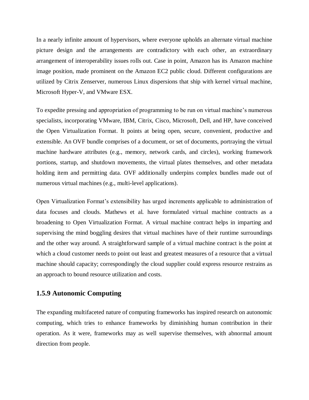In a nearly infinite amount of hypervisors, where everyone upholds an alternate virtual machine picture design and the arrangements are contradictory with each other, an extraordinary arrangement of interoperability issues rolls out. Case in point, Amazon has its Amazon machine image position, made prominent on the Amazon EC2 public cloud. Different configurations are utilized by Citrix Zenserver, numerous Linux dispersions that ship with kernel virtual machine, Microsoft Hyper-V, and VMware ESX.

To expedite pressing and appropriation of programming to be run on virtual machine's numerous specialists, incorporating VMware, IBM, Citrix, Cisco, Microsoft, Dell, and HP, have conceived the Open Virtualization Format. It points at being open, secure, convenient, productive and extensible. An OVF bundle comprises of a document, or set of documents, portraying the virtual machine hardware attributes (e.g., memory, network cards, and circles), working framework portions, startup, and shutdown movements, the virtual plates themselves, and other metadata holding item and permitting data. OVF additionally underpins complex bundles made out of numerous virtual machines (e.g., multi-level applications).

Open Virtualization Format's extensibility has urged increments applicable to administration of data focuses and clouds. Mathews et al. have formulated virtual machine contracts as a broadening to Open Virtualization Format. A virtual machine contract helps in imparting and supervising the mind boggling desires that virtual machines have of their runtime surroundings and the other way around. A straightforward sample of a virtual machine contract is the point at which a cloud customer needs to point out least and greatest measures of a resource that a virtual machine should capacity; correspondingly the cloud supplier could express resource restrains as an approach to bound resource utilization and costs.

# **1.5.9 Autonomic Computing**

The expanding multifaceted nature of computing frameworks has inspired research on autonomic computing, which tries to enhance frameworks by diminishing human contribution in their operation. As it were, frameworks may as well supervise themselves, with abnormal amount direction from people.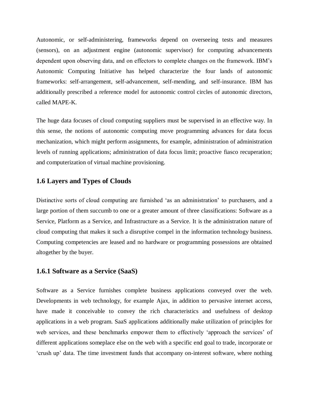Autonomic, or self-administering, frameworks depend on overseeing tests and measures (sensors), on an adjustment engine (autonomic supervisor) for computing advancements dependent upon observing data, and on effectors to complete changes on the framework. IBM's Autonomic Computing Initiative has helped characterize the four lands of autonomic frameworks: self-arrangement, self-advancement, self-mending, and self-insurance. IBM has additionally prescribed a reference model for autonomic control circles of autonomic directors, called MAPE-K.

The huge data focuses of cloud computing suppliers must be supervised in an effective way. In this sense, the notions of autonomic computing move programming advances for data focus mechanization, which might perform assignments, for example, administration of administration levels of running applications; administration of data focus limit; proactive fiasco recuperation; and computerization of virtual machine provisioning.

# **1.6 Layers and Types of Clouds**

Distinctive sorts of cloud computing are furnished 'as an administration' to purchasers, and a large portion of them succumb to one or a greater amount of three classifications: Software as a Service, Platform as a Service, and Infrastructure as a Service. It is the administration nature of cloud computing that makes it such a disruptive compel in the information technology business. Computing competencies are leased and no hardware or programming possessions are obtained altogether by the buyer.

#### **1.6.1 Software as a Service (SaaS)**

Software as a Service furnishes complete business applications conveyed over the web. Developments in web technology, for example Ajax, in addition to pervasive internet access, have made it conceivable to convey the rich characteristics and usefulness of desktop applications in a web program. SaaS applications additionally make utilization of principles for web services, and these benchmarks empower them to effectively 'approach the services' of different applications someplace else on the web with a specific end goal to trade, incorporate or 'crush up' data. The time investment funds that accompany on-interest software, where nothing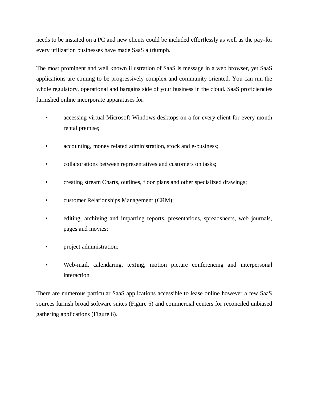needs to be instated on a PC and new clients could be included effortlessly as well as the pay-for every utilization businesses have made SaaS a triumph.

The most prominent and well known illustration of SaaS is message in a web browser, yet SaaS applications are coming to be progressively complex and community oriented. You can run the whole regulatory, operational and bargains side of your business in the cloud. SaaS proficiencies furnished online incorporate apparatuses for:

- accessing virtual Microsoft Windows desktops on a for every client for every month rental premise;
- accounting, money related administration, stock and e-business;
- collaborations between representatives and customers on tasks;
- creating stream Charts, outlines, floor plans and other specialized drawings;
- customer Relationships Management (CRM);
- editing, archiving and imparting reports, presentations, spreadsheets, web journals, pages and movies;
- project administration;
- Web-mail, calendaring, texting, motion picture conferencing and interpersonal interaction.

There are numerous particular SaaS applications accessible to lease online however a few SaaS sources furnish broad software suites (Figure 5) and commercial centers for reconciled unbiased gathering applications (Figure 6).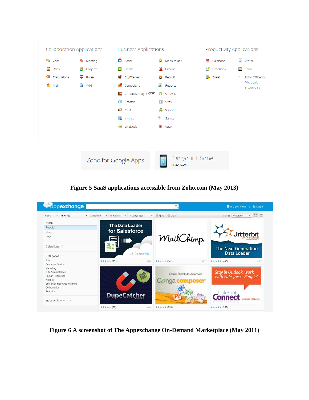

**Figure 5 SaaS applications accessible from Zoho.com (May 2013)** 



**Figure 6 A screenshot of The Appexchange On-Demand Marketplace (May 2011)**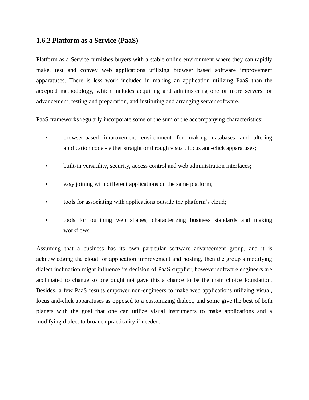# **1.6.2 Platform as a Service (PaaS)**

Platform as a Service furnishes buyers with a stable online environment where they can rapidly make, test and convey web applications utilizing browser based software improvement apparatuses. There is less work included in making an application utilizing PaaS than the accepted methodology, which includes acquiring and administering one or more servers for advancement, testing and preparation, and instituting and arranging server software.

PaaS frameworks regularly incorporate some or the sum of the accompanying characteristics:

- browser-based improvement environment for making databases and altering application code - either straight or through visual, focus and-click apparatuses;
- built-in versatility, security, access control and web administration interfaces;
- easy joining with different applications on the same platform;
- tools for associating with applications outside the platform's cloud;
- tools for outlining web shapes, characterizing business standards and making workflows.

Assuming that a business has its own particular software advancement group, and it is acknowledging the cloud for application improvement and hosting, then the group's modifying dialect inclination might influence its decision of PaaS supplier, however software engineers are acclimated to change so one ought not gave this a chance to be the main choice foundation. Besides, a few PaaS results empower non-engineers to make web applications utilizing visual, focus and-click apparatuses as opposed to a customizing dialect, and some give the best of both planets with the goal that one can utilize visual instruments to make applications and a modifying dialect to broaden practicality if needed.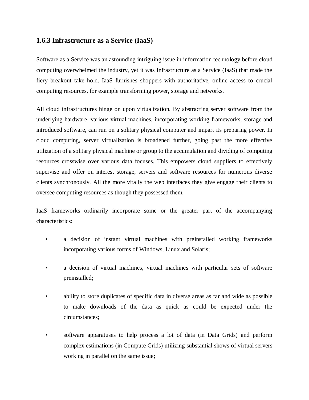# **1.6.3 Infrastructure as a Service (IaaS)**

Software as a Service was an astounding intriguing issue in information technology before cloud computing overwhelmed the industry, yet it was Infrastructure as a Service (IaaS) that made the fiery breakout take hold. IaaS furnishes shoppers with authoritative, online access to crucial computing resources, for example transforming power, storage and networks.

All cloud infrastructures hinge on upon virtualization. By abstracting server software from the underlying hardware, various virtual machines, incorporating working frameworks, storage and introduced software, can run on a solitary physical computer and impart its preparing power. In cloud computing, server virtualization is broadened further, going past the more effective utilization of a solitary physical machine or group to the accumulation and dividing of computing resources crosswise over various data focuses. This empowers cloud suppliers to effectively supervise and offer on interest storage, servers and software resources for numerous diverse clients synchronously. All the more vitally the web interfaces they give engage their clients to oversee computing resources as though they possessed them.

IaaS frameworks ordinarily incorporate some or the greater part of the accompanying characteristics:

- a decision of instant virtual machines with preinstalled working frameworks incorporating various forms of Windows, Linux and Solaris;
- a decision of virtual machines, virtual machines with particular sets of software preinstalled;
- ability to store duplicates of specific data in diverse areas as far and wide as possible to make downloads of the data as quick as could be expected under the circumstances;
- software apparatuses to help process a lot of data (in Data Grids) and perform complex estimations (in Compute Grids) utilizing substantial shows of virtual servers working in parallel on the same issue;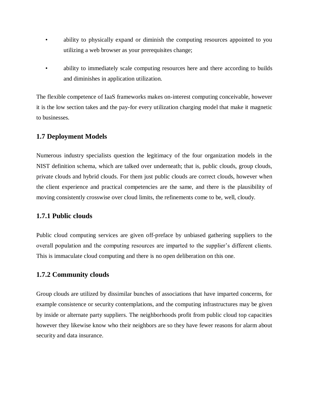- ability to physically expand or diminish the computing resources appointed to you utilizing a web browser as your prerequisites change;
- ability to immediately scale computing resources here and there according to builds and diminishes in application utilization.

The flexible competence of IaaS frameworks makes on-interest computing conceivable, however it is the low section takes and the pay-for every utilization charging model that make it magnetic to businesses.

# **1.7 Deployment Models**

Numerous industry specialists question the legitimacy of the four organization models in the NIST definition schema, which are talked over underneath; that is, public clouds, group clouds, private clouds and hybrid clouds. For them just public clouds are correct clouds, however when the client experience and practical competencies are the same, and there is the plausibility of moving consistently crosswise over cloud limits, the refinements come to be, well, cloudy.

# **1.7.1 Public clouds**

Public cloud computing services are given off-preface by unbiased gathering suppliers to the overall population and the computing resources are imparted to the supplier's different clients. This is immaculate cloud computing and there is no open deliberation on this one.

# **1.7.2 Community clouds**

Group clouds are utilized by dissimilar bunches of associations that have imparted concerns, for example consistence or security contemplations, and the computing infrastructures may be given by inside or alternate party suppliers. The neighborhoods profit from public cloud top capacities however they likewise know who their neighbors are so they have fewer reasons for alarm about security and data insurance.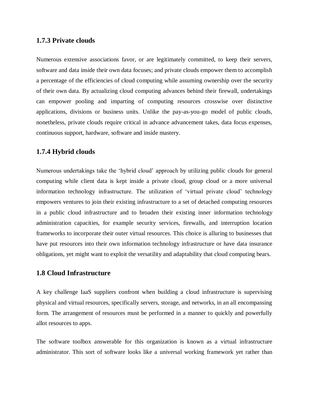#### **1.7.3 Private clouds**

Numerous extensive associations favor, or are legitimately committed, to keep their servers, software and data inside their own data focuses; and private clouds empower them to accomplish a percentage of the efficiencies of cloud computing while assuming ownership over the security of their own data. By actualizing cloud computing advances behind their firewall, undertakings can empower pooling and imparting of computing resources crosswise over distinctive applications, divisions or business units. Unlike the pay-as-you-go model of public clouds, nonetheless, private clouds require critical in advance advancement takes, data focus expenses, continuous support, hardware, software and inside mastery.

#### **1.7.4 Hybrid clouds**

Numerous undertakings take the 'hybrid cloud' approach by utilizing public clouds for general computing while client data is kept inside a private cloud, group cloud or a more universal information technology infrastructure. The utilization of 'virtual private cloud' technology empowers ventures to join their existing infrastructure to a set of detached computing resources in a public cloud infrastructure and to broaden their existing inner information technology administration capacities, for example security services, firewalls, and interruption location frameworks to incorporate their outer virtual resources. This choice is alluring to businesses that have put resources into their own information technology infrastructure or have data insurance obligations, yet might want to exploit the versatility and adaptability that cloud computing bears.

# **1.8 Cloud Infrastructure**

A key challenge IaaS suppliers confront when building a cloud infrastructure is supervising physical and virtual resources, specifically servers, storage, and networks, in an all encompassing form. The arrangement of resources must be performed in a manner to quickly and powerfully allot resources to apps.

The software toolbox answerable for this organization is known as a virtual infrastructure administrator. This sort of software looks like a universal working framework yet rather than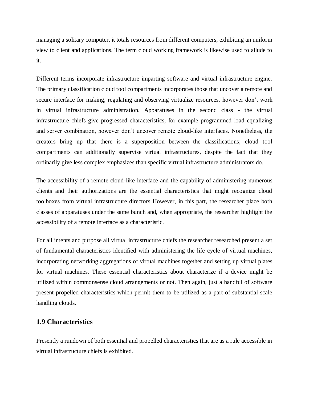managing a solitary computer, it totals resources from different computers, exhibiting an uniform view to client and applications. The term cloud working framework is likewise used to allude to it.

Different terms incorporate infrastructure imparting software and virtual infrastructure engine. The primary classification cloud tool compartments incorporates those that uncover a remote and secure interface for making, regulating and observing virtualize resources, however don't work in virtual infrastructure administration. Apparatuses in the second class - the virtual infrastructure chiefs give progressed characteristics, for example programmed load equalizing and server combination, however don't uncover remote cloud-like interfaces. Nonetheless, the creators bring up that there is a superposition between the classifications; cloud tool compartments can additionally supervise virtual infrastructures, despite the fact that they ordinarily give less complex emphasizes than specific virtual infrastructure administrators do.

The accessibility of a remote cloud-like interface and the capability of administering numerous clients and their authorizations are the essential characteristics that might recognize cloud toolboxes from virtual infrastructure directors However, in this part, the researcher place both classes of apparatuses under the same bunch and, when appropriate, the researcher highlight the accessibility of a remote interface as a characteristic.

For all intents and purpose all virtual infrastructure chiefs the researcher researched present a set of fundamental characteristics identified with administering the life cycle of virtual machines, incorporating networking aggregations of virtual machines together and setting up virtual plates for virtual machines. These essential characteristics about characterize if a device might be utilized within commonsense cloud arrangements or not. Then again, just a handful of software present propelled characteristics which permit them to be utilized as a part of substantial scale handling clouds.

# **1.9 Characteristics**

Presently a rundown of both essential and propelled characteristics that are as a rule accessible in virtual infrastructure chiefs is exhibited.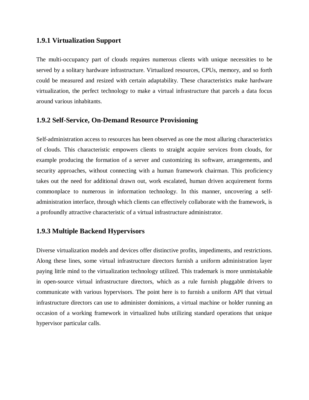#### **1.9.1 Virtualization Support**

The multi-occupancy part of clouds requires numerous clients with unique necessities to be served by a solitary hardware infrastructure. Virtualized resources, CPUs, memory, and so forth could be measured and resized with certain adaptability. These characteristics make hardware virtualization, the perfect technology to make a virtual infrastructure that parcels a data focus around various inhabitants.

# **1.9.2 Self-Service, On-Demand Resource Provisioning**

Self-administration access to resources has been observed as one the most alluring characteristics of clouds. This characteristic empowers clients to straight acquire services from clouds, for example producing the formation of a server and customizing its software, arrangements, and security approaches, without connecting with a human framework chairman. This proficiency takes out the need for additional drawn out, work escalated, human driven acquirement forms commonplace to numerous in information technology. In this manner, uncovering a selfadministration interface, through which clients can effectively collaborate with the framework, is a profoundly attractive characteristic of a virtual infrastructure administrator.

# **1.9.3 Multiple Backend Hypervisors**

Diverse virtualization models and devices offer distinctive profits, impediments, and restrictions. Along these lines, some virtual infrastructure directors furnish a uniform administration layer paying little mind to the virtualization technology utilized. This trademark is more unmistakable in open-source virtual infrastructure directors, which as a rule furnish pluggable drivers to communicate with various hypervisors. The point here is to furnish a uniform API that virtual infrastructure directors can use to administer dominions, a virtual machine or holder running an occasion of a working framework in virtualized hubs utilizing standard operations that unique hypervisor particular calls.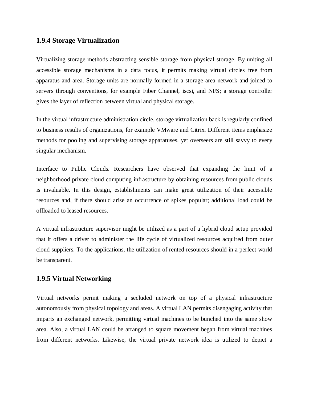#### **1.9.4 Storage Virtualization**

Virtualizing storage methods abstracting sensible storage from physical storage. By uniting all accessible storage mechanisms in a data focus, it permits making virtual circles free from apparatus and area. Storage units are normally formed in a storage area network and joined to servers through conventions, for example Fiber Channel, iscsi, and NFS; a storage controller gives the layer of reflection between virtual and physical storage.

In the virtual infrastructure administration circle, storage virtualization back is regularly confined to business results of organizations, for example VMware and Citrix. Different items emphasize methods for pooling and supervising storage apparatuses, yet overseers are still savvy to every singular mechanism.

Interface to Public Clouds. Researchers have observed that expanding the limit of a neighborhood private cloud computing infrastructure by obtaining resources from public clouds is invaluable. In this design, establishments can make great utilization of their accessible resources and, if there should arise an occurrence of spikes popular; additional load could be offloaded to leased resources.

A virtual infrastructure supervisor might be utilized as a part of a hybrid cloud setup provided that it offers a driver to administer the life cycle of virtualized resources acquired from outer cloud suppliers. To the applications, the utilization of rented resources should in a perfect world be transparent.

#### **1.9.5 Virtual Networking**

Virtual networks permit making a secluded network on top of a physical infrastructure autonomously from physical topology and areas. A virtual LAN permits disengaging activity that imparts an exchanged network, permitting virtual machines to be bunched into the same show area. Also, a virtual LAN could be arranged to square movement began from virtual machines from different networks. Likewise, the virtual private network idea is utilized to depict a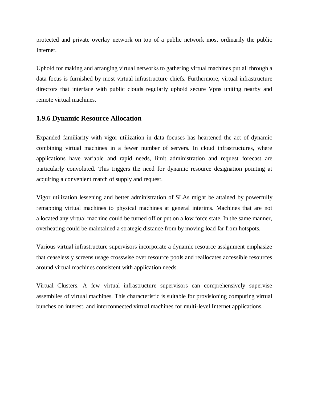protected and private overlay network on top of a public network most ordinarily the public Internet.

Uphold for making and arranging virtual networks to gathering virtual machines put all through a data focus is furnished by most virtual infrastructure chiefs. Furthermore, virtual infrastructure directors that interface with public clouds regularly uphold secure Vpns uniting nearby and remote virtual machines.

#### **1.9.6 Dynamic Resource Allocation**

Expanded familiarity with vigor utilization in data focuses has heartened the act of dynamic combining virtual machines in a fewer number of servers. In cloud infrastructures, where applications have variable and rapid needs, limit administration and request forecast are particularly convoluted. This triggers the need for dynamic resource designation pointing at acquiring a convenient match of supply and request.

Vigor utilization lessening and better administration of SLAs might be attained by powerfully remapping virtual machines to physical machines at general interims. Machines that are not allocated any virtual machine could be turned off or put on a low force state. In the same manner, overheating could be maintained a strategic distance from by moving load far from hotspots.

Various virtual infrastructure supervisors incorporate a dynamic resource assignment emphasize that ceaselessly screens usage crosswise over resource pools and reallocates accessible resources around virtual machines consistent with application needs.

Virtual Clusters. A few virtual infrastructure supervisors can comprehensively supervise assemblies of virtual machines. This characteristic is suitable for provisioning computing virtual bunches on interest, and interconnected virtual machines for multi-level Internet applications.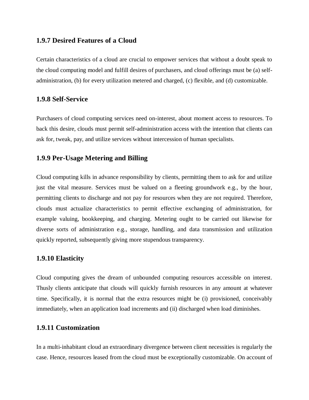#### **1.9.7 Desired Features of a Cloud**

Certain characteristics of a cloud are crucial to empower services that without a doubt speak to the cloud computing model and fulfill desires of purchasers, and cloud offerings must be (a) selfadministration, (b) for every utilization metered and charged, (c) flexible, and (d) customizable.

#### **1.9.8 Self-Service**

Purchasers of cloud computing services need on-interest, about moment access to resources. To back this desire, clouds must permit self-administration access with the intention that clients can ask for, tweak, pay, and utilize services without intercession of human specialists.

#### **1.9.9 Per-Usage Metering and Billing**

Cloud computing kills in advance responsibility by clients, permitting them to ask for and utilize just the vital measure. Services must be valued on a fleeting groundwork e.g., by the hour, permitting clients to discharge and not pay for resources when they are not required. Therefore, clouds must actualize characteristics to permit effective exchanging of administration, for example valuing, bookkeeping, and charging. Metering ought to be carried out likewise for diverse sorts of administration e.g., storage, handling, and data transmission and utilization quickly reported, subsequently giving more stupendous transparency.

#### **1.9.10 Elasticity**

Cloud computing gives the dream of unbounded computing resources accessible on interest. Thusly clients anticipate that clouds will quickly furnish resources in any amount at whatever time. Specifically, it is normal that the extra resources might be (i) provisioned, conceivably immediately, when an application load increments and (ii) discharged when load diminishes.

#### **1.9.11 Customization**

In a multi-inhabitant cloud an extraordinary divergence between client necessities is regularly the case. Hence, resources leased from the cloud must be exceptionally customizable. On account of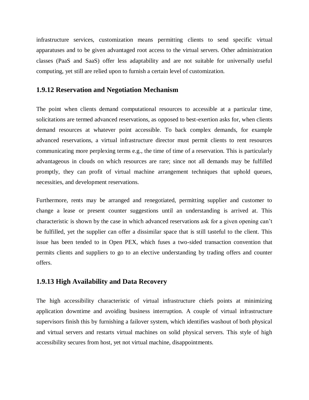infrastructure services, customization means permitting clients to send specific virtual apparatuses and to be given advantaged root access to the virtual servers. Other administration classes (PaaS and SaaS) offer less adaptability and are not suitable for universally useful computing, yet still are relied upon to furnish a certain level of customization.

#### **1.9.12 Reservation and Negotiation Mechanism**

The point when clients demand computational resources to accessible at a particular time, solicitations are termed advanced reservations, as opposed to best-exertion asks for, when clients demand resources at whatever point accessible. To back complex demands, for example advanced reservations, a virtual infrastructure director must permit clients to rent resources communicating more perplexing terms e.g., the time of time of a reservation. This is particularly advantageous in clouds on which resources are rare; since not all demands may be fulfilled promptly, they can profit of virtual machine arrangement techniques that uphold queues, necessities, and development reservations.

Furthermore, rents may be arranged and renegotiated, permitting supplier and customer to change a lease or present counter suggestions until an understanding is arrived at. This characteristic is shown by the case in which advanced reservations ask for a given opening can't be fulfilled, yet the supplier can offer a dissimilar space that is still tasteful to the client. This issue has been tended to in Open PEX, which fuses a two-sided transaction convention that permits clients and suppliers to go to an elective understanding by trading offers and counter offers.

#### **1.9.13 High Availability and Data Recovery**

The high accessibility characteristic of virtual infrastructure chiefs points at minimizing application downtime and avoiding business interruption. A couple of virtual infrastructure supervisors finish this by furnishing a failover system, which identifies washout of both physical and virtual servers and restarts virtual machines on solid physical servers. This style of high accessibility secures from host, yet not virtual machine, disappointments.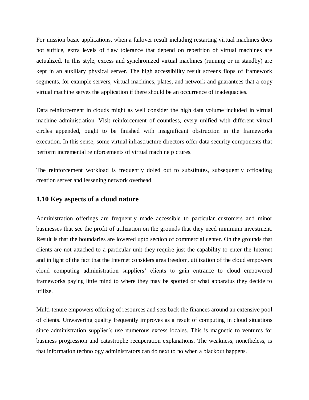For mission basic applications, when a failover result including restarting virtual machines does not suffice, extra levels of flaw tolerance that depend on repetition of virtual machines are actualized. In this style, excess and synchronized virtual machines (running or in standby) are kept in an auxiliary physical server. The high accessibility result screens flops of framework segments, for example servers, virtual machines, plates, and network and guarantees that a copy virtual machine serves the application if there should be an occurrence of inadequacies.

Data reinforcement in clouds might as well consider the high data volume included in virtual machine administration. Visit reinforcement of countless, every unified with different virtual circles appended, ought to be finished with insignificant obstruction in the frameworks execution. In this sense, some virtual infrastructure directors offer data security components that perform incremental reinforcements of virtual machine pictures.

The reinforcement workload is frequently doled out to substitutes, subsequently offloading creation server and lessening network overhead.

#### **1.10 Key aspects of a cloud nature**

Administration offerings are frequently made accessible to particular customers and minor businesses that see the profit of utilization on the grounds that they need minimum investment. Result is that the boundaries are lowered upto section of commercial center. On the grounds that clients are not attached to a particular unit they require just the capability to enter the Internet and in light of the fact that the Internet considers area freedom, utilization of the cloud empowers cloud computing administration suppliers' clients to gain entrance to cloud empowered frameworks paying little mind to where they may be spotted or what apparatus they decide to utilize.

Multi-tenure empowers offering of resources and sets back the finances around an extensive pool of clients. Unwavering quality frequently improves as a result of computing in cloud situations since administration supplier's use numerous excess locales. This is magnetic to ventures for business progression and catastrophe recuperation explanations. The weakness, nonetheless, is that information technology administrators can do next to no when a blackout happens.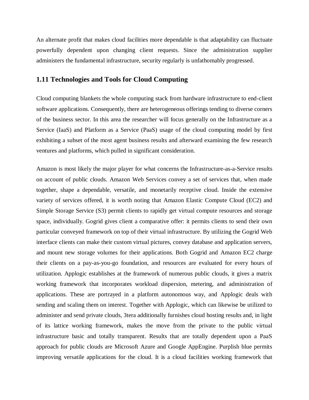An alternate profit that makes cloud facilities more dependable is that adaptability can fluctuate powerfully dependent upon changing client requests. Since the administration supplier administers the fundamental infrastructure, security regularly is unfathomably progressed.

#### **1.11 Technologies and Tools for Cloud Computing**

Cloud computing blankets the whole computing stack from hardware infrastructure to end-client software applications. Consequently, there are heterogeneous offerings tending to diverse corners of the business sector. In this area the researcher will focus generally on the Infrastructure as a Service (IaaS) and Platform as a Service (PaaS) usage of the cloud computing model by first exhibiting a subset of the most agent business results and afterward examining the few research ventures and platforms, which pulled in significant consideration.

Amazon is most likely the major player for what concerns the Infrastructure-as-a-Service results on account of public clouds. Amazon Web Services convey a set of services that, when made together, shape a dependable, versatile, and monetarily receptive cloud. Inside the extensive variety of services offered, it is worth noting that Amazon Elastic Compute Cloud (EC2) and Simple Storage Service (S3) permit clients to rapidly get virtual compute resources and storage space, individually. Gogrid gives client a comparative offer: it permits clients to send their own particular conveyed framework on top of their virtual infrastructure. By utilizing the Gogrid Web interface clients can make their custom virtual pictures, convey database and application servers, and mount new storage volumes for their applications. Both Gogrid and Amazon EC2 charge their clients on a pay-as-you-go foundation, and resources are evaluated for every hours of utilization. Applogic establishes at the framework of numerous public clouds, it gives a matrix working framework that incorporates workload dispersion, metering, and administration of applications. These are portrayed in a platform autonomous way, and Applogic deals with sending and scaling them on interest. Together with Applogic, which can likewise be utilized to administer and send private clouds, 3tera additionally furnishes cloud hosting results and, in light of its lattice working framework, makes the move from the private to the public virtual infrastructure basic and totally transparent. Results that are totally dependent upon a PaaS approach for public clouds are Microsoft Azure and Google AppEngine. Purplish blue permits improving versatile applications for the cloud. It is a cloud facilities working framework that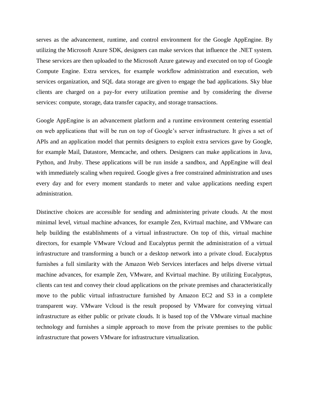serves as the advancement, runtime, and control environment for the Google AppEngine. By utilizing the Microsoft Azure SDK, designers can make services that influence the .NET system. These services are then uploaded to the Microsoft Azure gateway and executed on top of Google Compute Engine. Extra services, for example workflow administration and execution, web services organization, and SQL data storage are given to engage the bad applications. Sky blue clients are charged on a pay-for every utilization premise and by considering the diverse services: compute, storage, data transfer capacity, and storage transactions.

Google AppEngine is an advancement platform and a runtime environment centering essential on web applications that will be run on top of Google's server infrastructure. It gives a set of APIs and an application model that permits designers to exploit extra services gave by Google, for example Mail, Datastore, Memcache, and others. Designers can make applications in Java, Python, and Jruby. These applications will be run inside a sandbox, and AppEngine will deal with immediately scaling when required. Google gives a free constrained administration and uses every day and for every moment standards to meter and value applications needing expert administration.

Distinctive choices are accessible for sending and administering private clouds. At the most minimal level, virtual machine advances, for example Zen, Kvirtual machine, and VMware can help building the establishments of a virtual infrastructure. On top of this, virtual machine directors, for example VMware Vcloud and Eucalyptus permit the administration of a virtual infrastructure and transforming a bunch or a desktop network into a private cloud. Eucalyptus furnishes a full similarity with the Amazon Web Services interfaces and helps diverse virtual machine advances, for example Zen, VMware, and Kvirtual machine. By utilizing Eucalyptus, clients can test and convey their cloud applications on the private premises and characteristically move to the public virtual infrastructure furnished by Amazon EC2 and S3 in a complete transparent way. VMware Vcloud is the result proposed by VMware for conveying virtual infrastructure as either public or private clouds. It is based top of the VMware virtual machine technology and furnishes a simple approach to move from the private premises to the public infrastructure that powers VMware for infrastructure virtualization.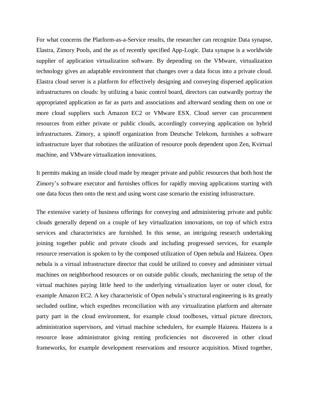For what concerns the Platform-as-a-Service results, the researcher can recognize Data synapse, Elastra, Zimory Pools, and the as of recently specified App-Logic. Data synapse is a worldwide supplier of application virtualization software. By depending on the VMware, virtualization technology gives an adaptable environment that changes over a data focus into a private cloud. Elastra cloud server is a platform for effectively designing and conveying dispersed application infrastructures on clouds: by utilizing a basic control board, directors can outwardly portray the appropriated application as far as parts and associations and afterward sending them on one or more cloud suppliers such Amazon EC2 or VMware ESX. Cloud server can procurement resources from either private or public clouds, accordingly conveying application on hybrid infrastructures. Zimory, a spinoff organization from Deutsche Telekom, furnishes a software infrastructure layer that robotizes the utilization of resource pools dependent upon Zen, Kvirtual machine, and VMware virtualization innovations.

It permits making an inside cloud made by meager private and public resources that both host the Zimory's software executor and furnishes offices for rapidly moving applications starting with one data focus then onto the next and using worst case scenario the existing infrastructure.

The extensive variety of business offerings for conveying and administering private and public clouds generally depend on a couple of key virtualization innovations, on top of which extra services and characteristics are furnished. In this sense, an intriguing research undertaking joining together public and private clouds and including progressed services, for example resource reservation is spoken to by the composed utilization of Open nebula and Haizeea. Open nebula is a virtual infrastructure director that could be utilized to convey and administer virtual machines on neighborhood resources or on outside public clouds, mechanizing the setup of the virtual machines paying little heed to the underlying virtualization layer or outer cloud, for example Amazon EC2. A key characteristic of Open nebula's structural engineering is its greatly secluded outline, which expedites reconciliation with any virtualization platform and alternate party part in the cloud environment, for example cloud toolboxes, virtual picture directors, administration supervisors, and virtual machine schedulers, for example Haizeea. Haizeea is a resource lease administrator giving renting proficiencies not discovered in other cloud frameworks, for example development reservations and resource acquisition. Mixed together,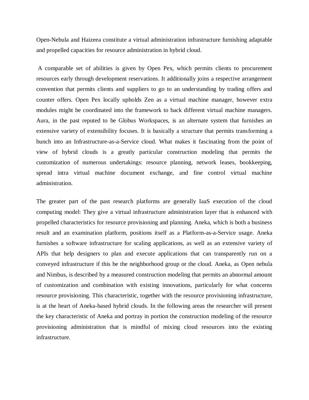Open-Nebula and Haizeea constitute a virtual administration infrastructure furnishing adaptable and propelled capacities for resource administration in hybrid cloud.

A comparable set of abilities is given by Open Pex, which permits clients to procurement resources early through development reservations. It additionally joins a respective arrangement convention that permits clients and suppliers to go to an understanding by trading offers and counter offers. Open Pex locally upholds Zen as a virtual machine manager, however extra modules might be coordinated into the framework to back different virtual machine managers. Aura, in the past reputed to be Globus Workspaces, is an alternate system that furnishes an extensive variety of extensibility focuses. It is basically a structure that permits transforming a bunch into an Infrastructure-as-a-Service cloud. What makes it fascinating from the point of view of hybrid clouds is a greatly particular construction modeling that permits the customization of numerous undertakings: resource planning, network leases, bookkeeping, spread intra virtual machine document exchange, and fine control virtual machine administration.

The greater part of the past research platforms are generally IaaS execution of the cloud computing model: They give a virtual infrastructure administration layer that is enhanced with propelled characteristics for resource provisioning and planning. Aneka, which is both a business result and an examination platform, positions itself as a Platform-as-a-Service usage. Aneka furnishes a software infrastructure for scaling applications, as well as an extensive variety of APIs that help designers to plan and execute applications that can transparently run on a conveyed infrastructure if this be the neighborhood group or the cloud. Aneka, as Open nebula and Nimbus, is described by a measured construction modeling that permits an abnormal amount of customization and combination with existing innovations, particularly for what concerns resource provisioning. This characteristic, together with the resource provisioning infrastructure, is at the heart of Aneka-based hybrid clouds. In the following areas the researcher will present the key characteristic of Aneka and portray in portion the construction modeling of the resource provisioning administration that is mindful of mixing cloud resources into the existing infrastructure.